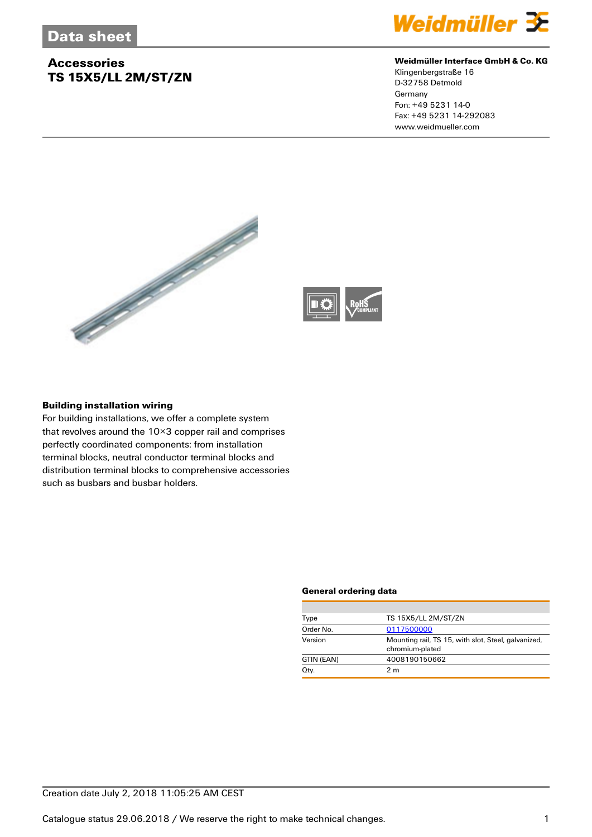# **Accessories TS 15X5/LL 2M/ST/ZN**



## **Weidmüller Interface GmbH & Co. KG**

Klingenbergstraße 16 D-32758 Detmold Germany Fon: +49 5231 14-0 Fax: +49 5231 14-292083 www.weidmueller.com





### **Building installation wiring**

For building installations, we offer a complete system that revolves around the 10×3 copper rail and comprises perfectly coordinated components: from installation terminal blocks, neutral conductor terminal blocks and distribution terminal blocks to comprehensive accessories such as busbars and busbar holders.

#### **General ordering data**

| Type       | TS 15X5/LL 2M/ST/ZN                                                    |  |  |
|------------|------------------------------------------------------------------------|--|--|
| Order No.  | 0117500000                                                             |  |  |
| Version    | Mounting rail, TS 15, with slot, Steel, galvanized,<br>chromium-plated |  |  |
| GTIN (EAN) | 4008190150662                                                          |  |  |
| Qty.       | 2 <sub>m</sub>                                                         |  |  |